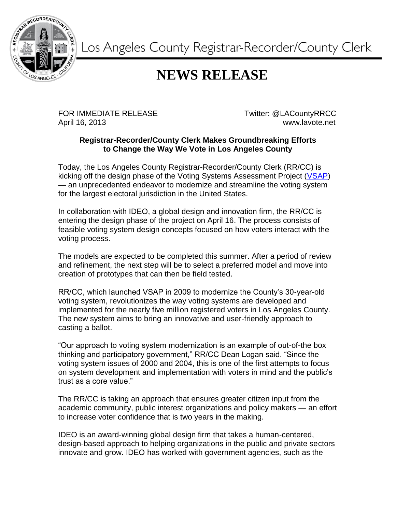

Los Angeles County Registrar-Recorder/County Clerk

## **NEWS RELEASE**

FOR IMMEDIATE RELEASE TWitter: @LACountyRRCC April 16, 2013 www.lavote.net

## **Registrar-Recorder/County Clerk Makes Groundbreaking Efforts to Change the Way We Vote in Los Angeles County**

Today, the Los Angeles County Registrar-Recorder/County Clerk (RR/CC) is kicking off the design phase of the Voting Systems Assessment Project [\(VSAP\)](http://www.lavote.net/voter/VSAP/) — an unprecedented endeavor to modernize and streamline the voting system for the largest electoral jurisdiction in the United States.

In collaboration with IDEO, a global design and innovation firm, the RR/CC is entering the design phase of the project on April 16. The process consists of feasible voting system design concepts focused on how voters interact with the voting process.

The models are expected to be completed this summer. After a period of review and refinement, the next step will be to select a preferred model and move into creation of prototypes that can then be field tested.

RR/CC, which launched VSAP in 2009 to modernize the County's 30-year-old voting system, revolutionizes the way voting systems are developed and implemented for the nearly five million registered voters in Los Angeles County. The new system aims to bring an innovative and user-friendly approach to casting a ballot.

"Our approach to voting system modernization is an example of out-of-the box thinking and participatory government," RR/CC Dean Logan said. "Since the voting system issues of 2000 and 2004, this is one of the first attempts to focus on system development and implementation with voters in mind and the public's trust as a core value."

The RR/CC is taking an approach that ensures greater citizen input from the academic community, public interest organizations and policy makers — an effort to increase voter confidence that is two years in the making.

IDEO is an award-winning global design firm that takes a human-centered, design-based approach to helping organizations in the public and private sectors innovate and grow. IDEO has worked with government agencies, such as the